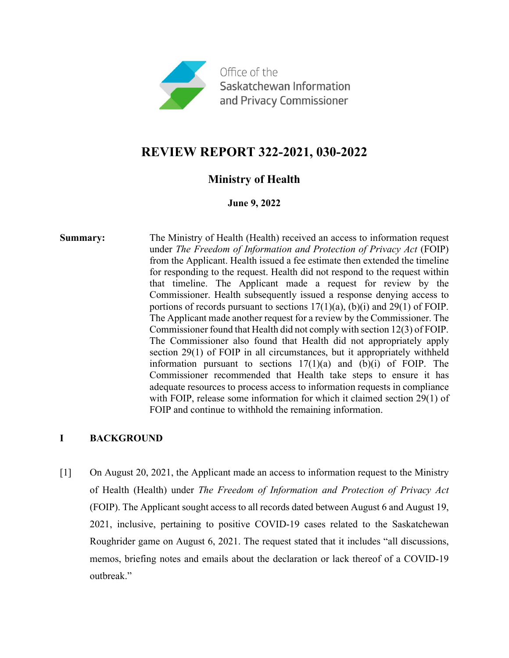

# **REVIEW REPORT 322-2021, 030-2022**

## **Ministry of Health**

#### **June 9, 2022**

**Summary:** The Ministry of Health (Health) received an access to information request under *The Freedom of Information and Protection of Privacy Act* (FOIP) from the Applicant. Health issued a fee estimate then extended the timeline for responding to the request. Health did not respond to the request within that timeline. The Applicant made a request for review by the Commissioner. Health subsequently issued a response denying access to portions of records pursuant to sections 17(1)(a), (b)(i) and 29(1) of FOIP. The Applicant made another request for a review by the Commissioner. The Commissioner found that Health did not comply with section 12(3) of FOIP. The Commissioner also found that Health did not appropriately apply section 29(1) of FOIP in all circumstances, but it appropriately withheld information pursuant to sections  $17(1)(a)$  and  $(b)(i)$  of FOIP. The Commissioner recommended that Health take steps to ensure it has adequate resources to process access to information requests in compliance with FOIP, release some information for which it claimed section 29(1) of FOIP and continue to withhold the remaining information.

## **I BACKGROUND**

[1] On August 20, 2021, the Applicant made an access to information request to the Ministry of Health (Health) under *The Freedom of Information and Protection of Privacy Act* (FOIP). The Applicant sought access to all records dated between August 6 and August 19, 2021, inclusive, pertaining to positive COVID-19 cases related to the Saskatchewan Roughrider game on August 6, 2021. The request stated that it includes "all discussions, memos, briefing notes and emails about the declaration or lack thereof of a COVID-19 outbreak."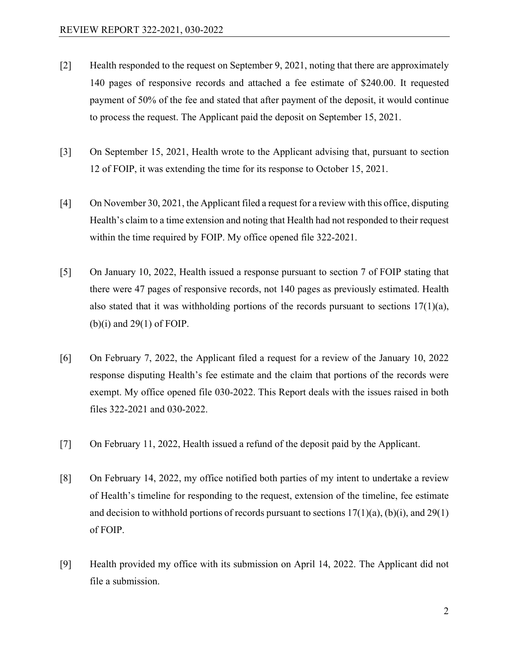- [2] Health responded to the request on September 9, 2021, noting that there are approximately 140 pages of responsive records and attached a fee estimate of \$240.00. It requested payment of 50% of the fee and stated that after payment of the deposit, it would continue to process the request. The Applicant paid the deposit on September 15, 2021.
- [3] On September 15, 2021, Health wrote to the Applicant advising that, pursuant to section 12 of FOIP, it was extending the time for its response to October 15, 2021.
- [4] On November 30, 2021, the Applicant filed a request for a review with this office, disputing Health's claim to a time extension and noting that Health had not responded to their request within the time required by FOIP. My office opened file 322-2021.
- [5] On January 10, 2022, Health issued a response pursuant to section 7 of FOIP stating that there were 47 pages of responsive records, not 140 pages as previously estimated. Health also stated that it was withholding portions of the records pursuant to sections  $17(1)(a)$ ,  $(b)(i)$  and 29(1) of FOIP.
- [6] On February 7, 2022, the Applicant filed a request for a review of the January 10, 2022 response disputing Health's fee estimate and the claim that portions of the records were exempt. My office opened file 030-2022. This Report deals with the issues raised in both files 322-2021 and 030-2022.
- [7] On February 11, 2022, Health issued a refund of the deposit paid by the Applicant.
- [8] On February 14, 2022, my office notified both parties of my intent to undertake a review of Health's timeline for responding to the request, extension of the timeline, fee estimate and decision to withhold portions of records pursuant to sections  $17(1)(a)$ , (b)(i), and 29(1) of FOIP.
- [9] Health provided my office with its submission on April 14, 2022. The Applicant did not file a submission.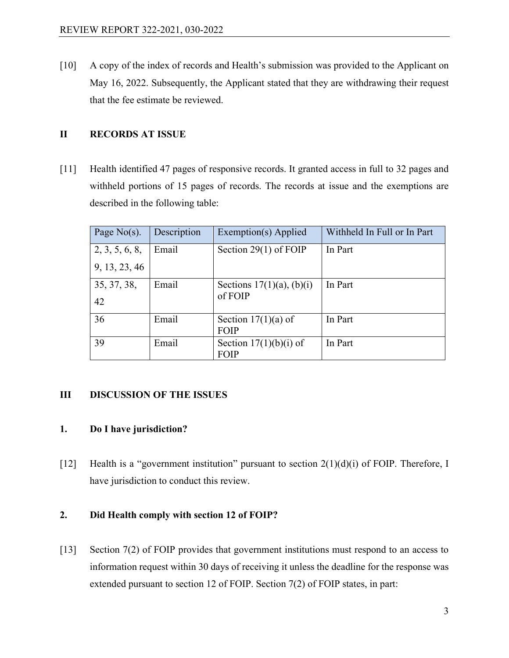[10] A copy of the index of records and Health's submission was provided to the Applicant on May 16, 2022. Subsequently, the Applicant stated that they are withdrawing their request that the fee estimate be reviewed.

## **II RECORDS AT ISSUE**

[11] Health identified 47 pages of responsive records. It granted access in full to 32 pages and withheld portions of 15 pages of records. The records at issue and the exemptions are described in the following table:

| Page $No(s)$ . | Description | Exemption(s) Applied           | Withheld In Full or In Part |
|----------------|-------------|--------------------------------|-----------------------------|
| 2, 3, 5, 6, 8, | Email       | Section 29 $(1)$ of FOIP       | In Part                     |
| 9, 13, 23, 46  |             |                                |                             |
| 35, 37, 38,    | Email       | Sections $17(1)(a)$ , $(b)(i)$ | In Part                     |
| 42             |             | of FOIP                        |                             |
| 36             | Email       | Section $17(1)(a)$ of          | In Part                     |
|                |             | <b>FOIP</b>                    |                             |
| 39             | Email       | Section $17(1)(b)(i)$ of       | In Part                     |
|                |             | <b>FOIP</b>                    |                             |

## **III DISCUSSION OF THE ISSUES**

## **1. Do I have jurisdiction?**

[12] Health is a "government institution" pursuant to section  $2(1)(d)(i)$  of FOIP. Therefore, I have jurisdiction to conduct this review.

#### **2. Did Health comply with section 12 of FOIP?**

[13] Section 7(2) of FOIP provides that government institutions must respond to an access to information request within 30 days of receiving it unless the deadline for the response was extended pursuant to section 12 of FOIP. Section 7(2) of FOIP states, in part: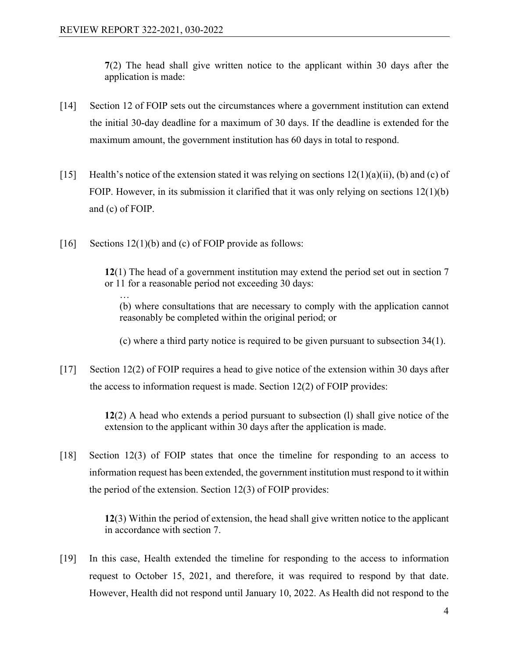**7**(2) The head shall give written notice to the applicant within 30 days after the application is made:

- [14] Section 12 of FOIP sets out the circumstances where a government institution can extend the initial 30-day deadline for a maximum of 30 days. If the deadline is extended for the maximum amount, the government institution has 60 days in total to respond.
- [15] Health's notice of the extension stated it was relying on sections  $12(1)(a)(ii)$ , (b) and (c) of FOIP. However, in its submission it clarified that it was only relying on sections 12(1)(b) and (c) of FOIP.
- [16] Sections 12(1)(b) and (c) of FOIP provide as follows:

**12**(1) The head of a government institution may extend the period set out in section 7 or 11 for a reasonable period not exceeding 30 days:

… (b) where consultations that are necessary to comply with the application cannot reasonably be completed within the original period; or

(c) where a third party notice is required to be given pursuant to subsection 34(1).

[17] Section 12(2) of FOIP requires a head to give notice of the extension within 30 days after the access to information request is made. Section 12(2) of FOIP provides:

> **12**(2) A head who extends a period pursuant to subsection (l) shall give notice of the extension to the applicant within 30 days after the application is made.

[18] Section 12(3) of FOIP states that once the timeline for responding to an access to information request has been extended, the government institution must respond to it within the period of the extension. Section 12(3) of FOIP provides:

> **12**(3) Within the period of extension, the head shall give written notice to the applicant in accordance with section 7.

[19] In this case, Health extended the timeline for responding to the access to information request to October 15, 2021, and therefore, it was required to respond by that date. However, Health did not respond until January 10, 2022. As Health did not respond to the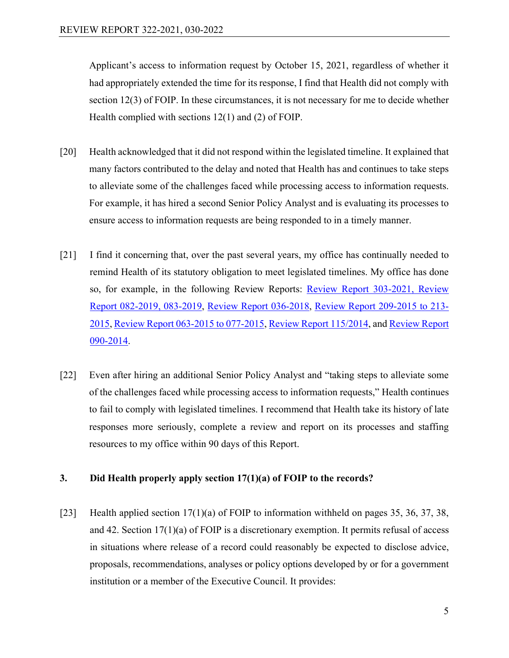Applicant's access to information request by October 15, 2021, regardless of whether it had appropriately extended the time for its response, I find that Health did not comply with section 12(3) of FOIP. In these circumstances, it is not necessary for me to decide whether Health complied with sections 12(1) and (2) of FOIP.

- [20] Health acknowledged that it did not respond within the legislated timeline. It explained that many factors contributed to the delay and noted that Health has and continues to take steps to alleviate some of the challenges faced while processing access to information requests. For example, it has hired a second Senior Policy Analyst and is evaluating its processes to ensure access to information requests are being responded to in a timely manner.
- [21] I find it concerning that, over the past several years, my office has continually needed to remind Health of its statutory obligation to meet legislated timelines. My office has done so, for example, in the following Review Reports: [Review Report 303-2021,](https://oipc.sk.ca/assets/foip-review_303-2021.pdf) [Review](https://canlii.ca/t/j9940)  [Report 082-2019, 083-2019,](https://canlii.ca/t/j9940) [Review Report 036-2018,](https://canlii.ca/t/hvx7z) [Review Report 209-2015 to 213-](https://canlii.ca/t/gn7bc) [2015,](https://canlii.ca/t/gn7bc) [Review Report 063-2015 to 077-2015,](https://oipc.sk.ca/assets/foip-review-063-2015-to-077-2015.pdf) [Review Report 115/2014,](https://oipc.sk.ca/assets/foip-review-115-2014.pdf) and [Review Report](https://oipc.sk.ca/assets/foip-review-090-2014.pdf)  [090-2014.](https://oipc.sk.ca/assets/foip-review-090-2014.pdf)
- [22] Even after hiring an additional Senior Policy Analyst and "taking steps to alleviate some of the challenges faced while processing access to information requests," Health continues to fail to comply with legislated timelines. I recommend that Health take its history of late responses more seriously, complete a review and report on its processes and staffing resources to my office within 90 days of this Report.

## **3. Did Health properly apply section 17(1)(a) of FOIP to the records?**

[23] Health applied section  $17(1)(a)$  of FOIP to information withheld on pages 35, 36, 37, 38, and 42. Section 17(1)(a) of FOIP is a discretionary exemption. It permits refusal of access in situations where release of a record could reasonably be expected to disclose advice, proposals, recommendations, analyses or policy options developed by or for a government institution or a member of the Executive Council. It provides: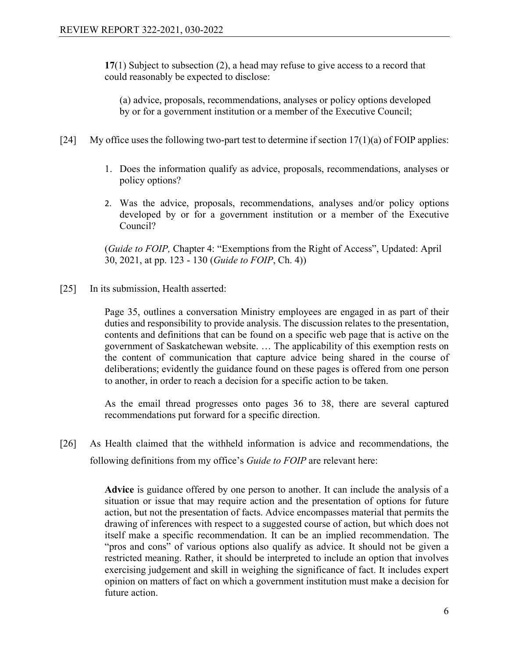**17**(1) Subject to subsection (2), a head may refuse to give access to a record that could reasonably be expected to disclose:

(a) advice, proposals, recommendations, analyses or policy options developed by or for a government institution or a member of the Executive Council;

- [24] My office uses the following two-part test to determine if section  $17(1)(a)$  of FOIP applies:
	- 1. Does the information qualify as advice, proposals, recommendations, analyses or policy options?
	- 2. Was the advice, proposals, recommendations, analyses and/or policy options developed by or for a government institution or a member of the Executive Council?

(*Guide to FOIP,* Chapter 4: "Exemptions from the Right of Access", Updated: April 30, 2021, at pp. 123 - 130 (*Guide to FOIP*, Ch. 4))

[25] In its submission, Health asserted:

Page 35, outlines a conversation Ministry employees are engaged in as part of their duties and responsibility to provide analysis. The discussion relates to the presentation, contents and definitions that can be found on a specific web page that is active on the government of Saskatchewan website. … The applicability of this exemption rests on the content of communication that capture advice being shared in the course of deliberations; evidently the guidance found on these pages is offered from one person to another, in order to reach a decision for a specific action to be taken.

As the email thread progresses onto pages 36 to 38, there are several captured recommendations put forward for a specific direction.

[26] As Health claimed that the withheld information is advice and recommendations, the following definitions from my office's *Guide to FOIP* are relevant here:

> **Advice** is guidance offered by one person to another. It can include the analysis of a situation or issue that may require action and the presentation of options for future action, but not the presentation of facts. Advice encompasses material that permits the drawing of inferences with respect to a suggested course of action, but which does not itself make a specific recommendation. It can be an implied recommendation. The "pros and cons" of various options also qualify as advice. It should not be given a restricted meaning. Rather, it should be interpreted to include an option that involves exercising judgement and skill in weighing the significance of fact. It includes expert opinion on matters of fact on which a government institution must make a decision for future action.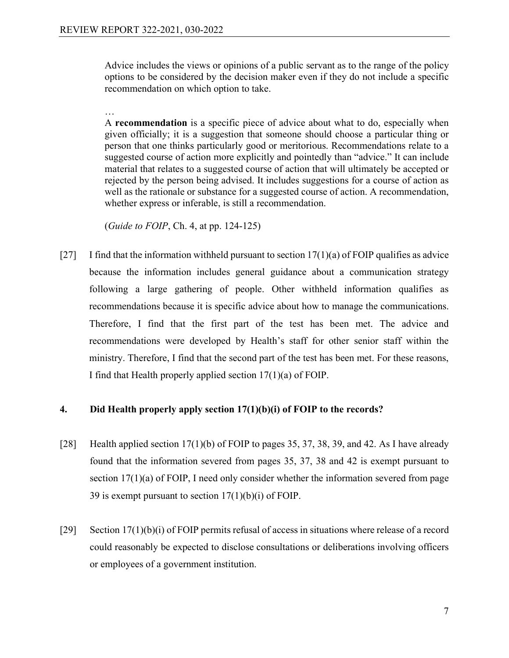…

Advice includes the views or opinions of a public servant as to the range of the policy options to be considered by the decision maker even if they do not include a specific recommendation on which option to take.

A **recommendation** is a specific piece of advice about what to do, especially when given officially; it is a suggestion that someone should choose a particular thing or person that one thinks particularly good or meritorious. Recommendations relate to a suggested course of action more explicitly and pointedly than "advice." It can include material that relates to a suggested course of action that will ultimately be accepted or rejected by the person being advised. It includes suggestions for a course of action as well as the rationale or substance for a suggested course of action. A recommendation, whether express or inferable, is still a recommendation.

(*Guide to FOIP*, Ch. 4, at pp. 124-125)

[27] I find that the information withheld pursuant to section  $17(1)(a)$  of FOIP qualifies as advice because the information includes general guidance about a communication strategy following a large gathering of people. Other withheld information qualifies as recommendations because it is specific advice about how to manage the communications. Therefore, I find that the first part of the test has been met. The advice and recommendations were developed by Health's staff for other senior staff within the ministry. Therefore, I find that the second part of the test has been met. For these reasons, I find that Health properly applied section 17(1)(a) of FOIP.

#### **4. Did Health properly apply section 17(1)(b)(i) of FOIP to the records?**

- [28] Health applied section  $17(1)(b)$  of FOIP to pages 35, 37, 38, 39, and 42. As I have already found that the information severed from pages 35, 37, 38 and 42 is exempt pursuant to section 17(1)(a) of FOIP, I need only consider whether the information severed from page 39 is exempt pursuant to section  $17(1)(b)(i)$  of FOIP.
- [29] Section  $17(1)(b)(i)$  of FOIP permits refusal of access in situations where release of a record could reasonably be expected to disclose consultations or deliberations involving officers or employees of a government institution.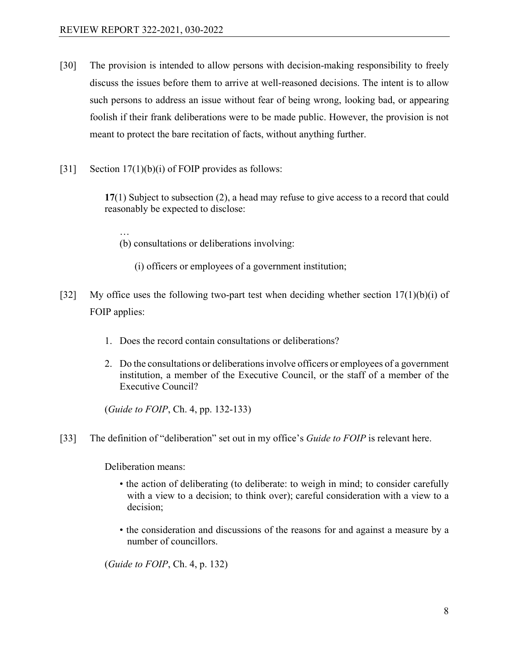…

- [30] The provision is intended to allow persons with decision-making responsibility to freely discuss the issues before them to arrive at well-reasoned decisions. The intent is to allow such persons to address an issue without fear of being wrong, looking bad, or appearing foolish if their frank deliberations were to be made public. However, the provision is not meant to protect the bare recitation of facts, without anything further.
- [31] Section  $17(1)(b)(i)$  of FOIP provides as follows:

**17**(1) Subject to subsection (2), a head may refuse to give access to a record that could reasonably be expected to disclose:

- (b) consultations or deliberations involving:
	- (i) officers or employees of a government institution;
- [32] My office uses the following two-part test when deciding whether section  $17(1)(b)(i)$  of FOIP applies:
	- 1. Does the record contain consultations or deliberations?
	- 2. Do the consultations or deliberations involve officers or employees of a government institution, a member of the Executive Council, or the staff of a member of the Executive Council?

(*Guide to FOIP*, Ch. 4, pp. 132-133)

[33] The definition of "deliberation" set out in my office's *Guide to FOIP* is relevant here.

Deliberation means:

- the action of deliberating (to deliberate: to weigh in mind; to consider carefully with a view to a decision; to think over); careful consideration with a view to a decision;
- the consideration and discussions of the reasons for and against a measure by a number of councillors.

(*Guide to FOIP*, Ch. 4, p. 132)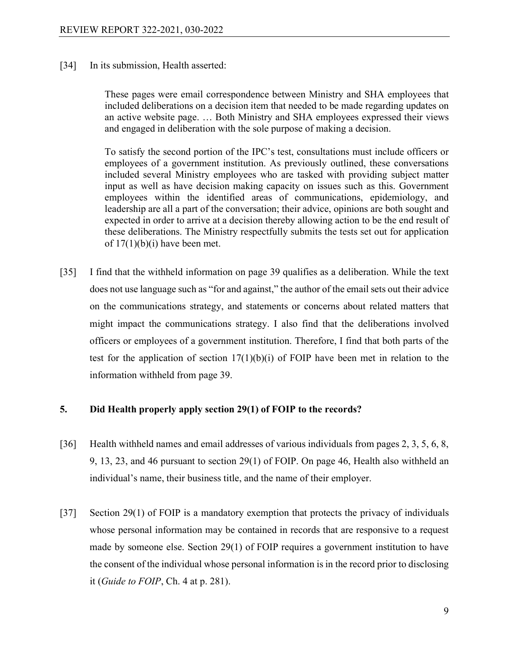[34] In its submission, Health asserted:

These pages were email correspondence between Ministry and SHA employees that included deliberations on a decision item that needed to be made regarding updates on an active website page. … Both Ministry and SHA employees expressed their views and engaged in deliberation with the sole purpose of making a decision.

To satisfy the second portion of the IPC's test, consultations must include officers or employees of a government institution. As previously outlined, these conversations included several Ministry employees who are tasked with providing subject matter input as well as have decision making capacity on issues such as this. Government employees within the identified areas of communications, epidemiology, and leadership are all a part of the conversation; their advice, opinions are both sought and expected in order to arrive at a decision thereby allowing action to be the end result of these deliberations. The Ministry respectfully submits the tests set out for application of  $17(1)(b)(i)$  have been met.

[35] I find that the withheld information on page 39 qualifies as a deliberation. While the text does not use language such as "for and against," the author of the email sets out their advice on the communications strategy, and statements or concerns about related matters that might impact the communications strategy. I also find that the deliberations involved officers or employees of a government institution. Therefore, I find that both parts of the test for the application of section  $17(1)(b)(i)$  of FOIP have been met in relation to the information withheld from page 39.

#### **5. Did Health properly apply section 29(1) of FOIP to the records?**

- [36] Health withheld names and email addresses of various individuals from pages 2, 3, 5, 6, 8, 9, 13, 23, and 46 pursuant to section 29(1) of FOIP. On page 46, Health also withheld an individual's name, their business title, and the name of their employer.
- [37] Section 29(1) of FOIP is a mandatory exemption that protects the privacy of individuals whose personal information may be contained in records that are responsive to a request made by someone else. Section 29(1) of FOIP requires a government institution to have the consent of the individual whose personal information is in the record prior to disclosing it (*Guide to FOIP*, Ch. 4 at p. 281).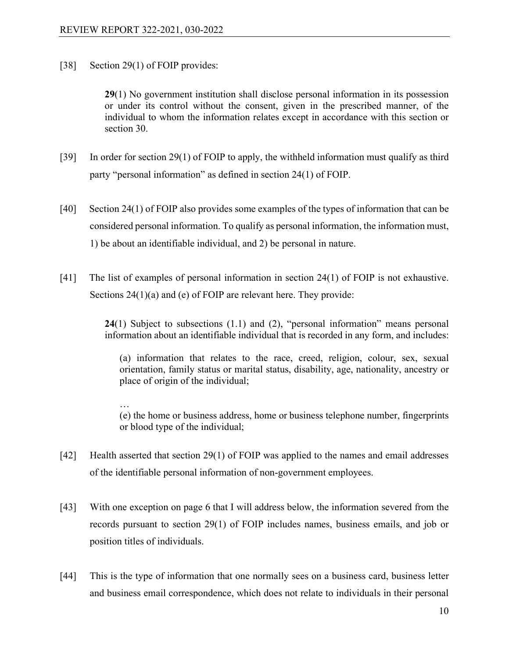[38] Section 29(1) of FOIP provides:

**29**(1) No government institution shall disclose personal information in its possession or under its control without the consent, given in the prescribed manner, of the individual to whom the information relates except in accordance with this section or section 30.

- [39] In order for section 29(1) of FOIP to apply, the withheld information must qualify as third party "personal information" as defined in section 24(1) of FOIP.
- [40] Section 24(1) of FOIP also provides some examples of the types of information that can be considered personal information. To qualify as personal information, the information must, 1) be about an identifiable individual, and 2) be personal in nature.
- [41] The list of examples of personal information in section 24(1) of FOIP is not exhaustive. Sections 24(1)(a) and (e) of FOIP are relevant here. They provide:

**24**(1) Subject to subsections (1.1) and (2), "personal information" means personal information about an identifiable individual that is recorded in any form, and includes:

(a) information that relates to the race, creed, religion, colour, sex, sexual orientation, family status or marital status, disability, age, nationality, ancestry or place of origin of the individual;

… (e) the home or business address, home or business telephone number, fingerprints or blood type of the individual;

- [42] Health asserted that section 29(1) of FOIP was applied to the names and email addresses of the identifiable personal information of non-government employees.
- [43] With one exception on page 6 that I will address below, the information severed from the records pursuant to section 29(1) of FOIP includes names, business emails, and job or position titles of individuals.
- [44] This is the type of information that one normally sees on a business card, business letter and business email correspondence, which does not relate to individuals in their personal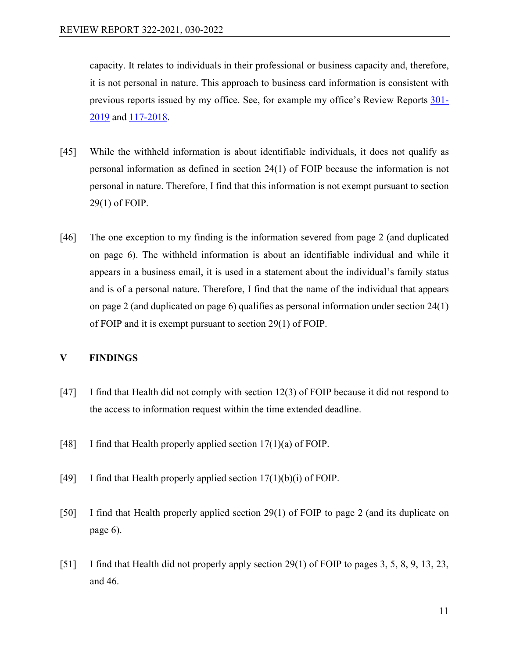capacity. It relates to individuals in their professional or business capacity and, therefore, it is not personal in nature. This approach to business card information is consistent with previous reports issued by my office. See, for example my office's Review Reports [301-](https://oipc.sk.ca/assets/foip-review-301-2019.pdf) [2019](https://oipc.sk.ca/assets/foip-review-301-2019.pdf) and [117-2018.](https://oipc.sk.ca/assets/foip-review-117-2018.pdf)

- [45] While the withheld information is about identifiable individuals, it does not qualify as personal information as defined in section 24(1) of FOIP because the information is not personal in nature. Therefore, I find that this information is not exempt pursuant to section 29(1) of FOIP.
- [46] The one exception to my finding is the information severed from page 2 (and duplicated on page 6). The withheld information is about an identifiable individual and while it appears in a business email, it is used in a statement about the individual's family status and is of a personal nature. Therefore, I find that the name of the individual that appears on page 2 (and duplicated on page 6) qualifies as personal information under section 24(1) of FOIP and it is exempt pursuant to section 29(1) of FOIP.

## **V FINDINGS**

- [47] I find that Health did not comply with section 12(3) of FOIP because it did not respond to the access to information request within the time extended deadline.
- [48] I find that Health properly applied section  $17(1)(a)$  of FOIP.
- [49] I find that Health properly applied section  $17(1)(b)(i)$  of FOIP.
- [50] I find that Health properly applied section 29(1) of FOIP to page 2 (and its duplicate on page 6).
- [51] I find that Health did not properly apply section 29(1) of FOIP to pages 3, 5, 8, 9, 13, 23, and 46.